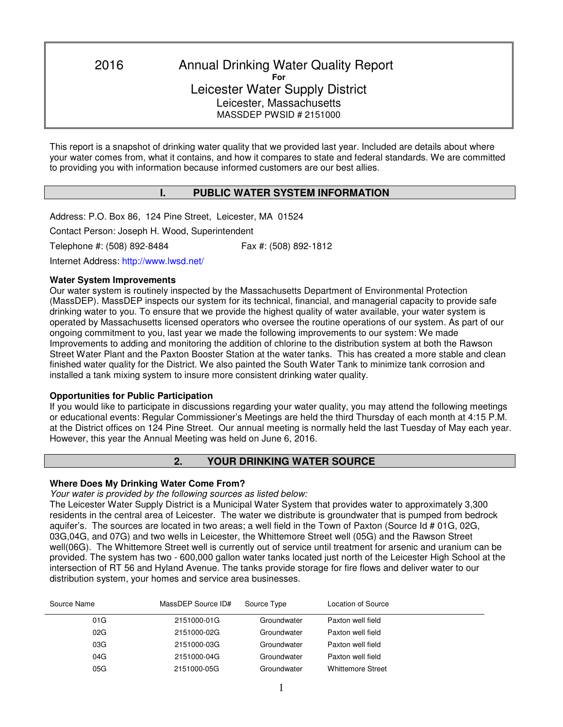2016 Annual Drinking Water Quality Report **For**  Leicester Water Supply District Leicester, Massachusetts MASSDEP PWSID # 2151000

This report is a snapshot of drinking water quality that we provided last year. Included are details about where your water comes from, what it contains, and how it compares to state and federal standards. We are committed to providing you with information because informed customers are our best allies.

# **I. PUBLIC WATER SYSTEM INFORMATION**

Address: P.O. Box 86, 124 Pine Street, Leicester, MA 01524 Contact Person: Joseph H. Wood, Superintendent Telephone #: (508) 892-8484 Fax #: (508) 892-1812

Internet Address: http://www.lwsd.net/

## **Water System Improvements**

٦

Our water system is routinely inspected by the Massachusetts Department of Environmental Protection (MassDEP). MassDEP inspects our system for its technical, financial, and managerial capacity to provide safe drinking water to you. To ensure that we provide the highest quality of water available, your water system is operated by Massachusetts licensed operators who oversee the routine operations of our system. As part of our ongoing commitment to you, last year we made the following improvements to our system: We made Improvements to adding and monitoring the addition of chlorine to the distribution system at both the Rawson Street Water Plant and the Paxton Booster Station at the water tanks. This has created a more stable and clean finished water quality for the District. We also painted the South Water Tank to minimize tank corrosion and installed a tank mixing system to insure more consistent drinking water quality.

# **Opportunities for Public Participation**

If you would like to participate in discussions regarding your water quality, you may attend the following meetings or educational events: Regular Commissioner's Meetings are held the third Thursday of each month at 4:15 P.M. at the District offices on 124 Pine Street. Our annual meeting is normally held the last Tuesday of May each year. However, this year the Annual Meeting was held on June 6, 2016.

# **2. YOUR DRINKING WATER SOURCE**

# **Where Does My Drinking Water Come From?**

*Your water is provided by the following sources as listed below:* 

The Leicester Water Supply District is a Municipal Water System that provides water to approximately 3,300 residents in the central area of Leicester. The water we distribute is groundwater that is pumped from bedrock aquifer's. The sources are located in two areas; a well field in the Town of Paxton (Source Id # 01G, 02G, 03G,04G, and 07G) and two wells in Leicester, the Whittemore Street well (05G) and the Rawson Street well(06G). The Whittemore Street well is currently out of service until treatment for arsenic and uranium can be provided. The system has two - 600,000 gallon water tanks located just north of the Leicester High School at the intersection of RT 56 and Hyland Avenue. The tanks provide storage for fire flows and deliver water to our distribution system, your homes and service area businesses.

| Source Name | MassDEP Source ID# | Source Type | Location of Source       |
|-------------|--------------------|-------------|--------------------------|
| 01G         | 2151000-01G        | Groundwater | Paxton well field        |
| 02G         | 2151000-02G        | Groundwater | Paxton well field        |
| 03G         | 2151000-03G        | Groundwater | Paxton well field        |
| 04G         | 2151000-04G        | Groundwater | Paxton well field        |
| 05G         | 2151000-05G        | Groundwater | <b>Whittemore Street</b> |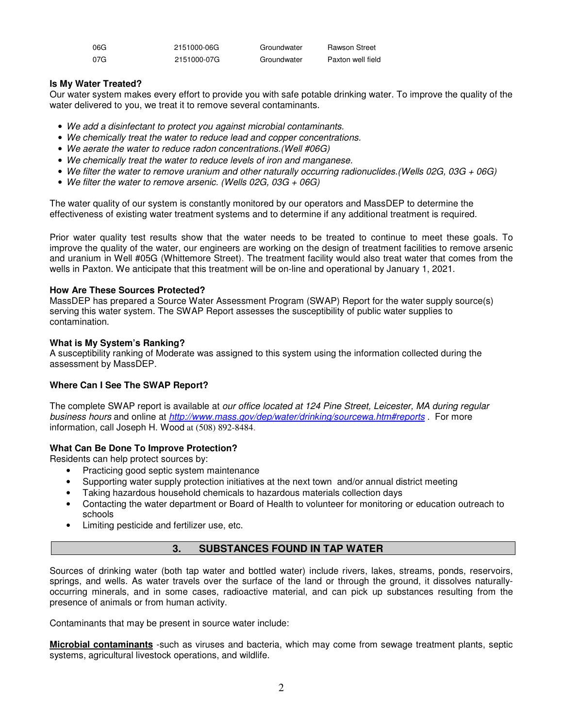| 06G | 2151000-06G | Groundwater | <b>Rawson Street</b> |
|-----|-------------|-------------|----------------------|
| 07G | 2151000-07G | Groundwater | Paxton well field    |

# **Is My Water Treated?**

Our water system makes every effort to provide you with safe potable drinking water. To improve the quality of the water delivered to you, we treat it to remove several contaminants.

- *We add a disinfectant to protect you against microbial contaminants.*
- *We chemically treat the water to reduce lead and copper concentrations.*
- *We aerate the water to reduce radon concentrations.(Well #06G)*
- *We chemically treat the water to reduce levels of iron and manganese.*
- *We filter the water to remove uranium and other naturally occurring radionuclides.(Wells 02G, 03G + 06G)*
- *We filter the water to remove arsenic. (Wells 02G, 03G + 06G)*

The water quality of our system is constantly monitored by our operators and MassDEP to determine the effectiveness of existing water treatment systems and to determine if any additional treatment is required.

Prior water quality test results show that the water needs to be treated to continue to meet these goals. To improve the quality of the water, our engineers are working on the design of treatment facilities to remove arsenic and uranium in Well #05G (Whittemore Street)*.* The treatment facility would also treat water that comes from the wells in Paxton. We anticipate that this treatment will be on-line and operational by January 1, 2021.

## **How Are These Sources Protected?**

MassDEP has prepared a Source Water Assessment Program (SWAP) Report for the water supply source(s) serving this water system. The SWAP Report assesses the susceptibility of public water supplies to contamination.

## **What is My System's Ranking?**

A susceptibility ranking of Moderate was assigned to this system using the information collected during the assessment by MassDEP.

# **Where Can I See The SWAP Report?**

The complete SWAP report is available at *our office located at 124 Pine Street, Leicester, MA during regular business hours* and online at *http://www.mass.gov/dep/water/drinking/sourcewa.htm#reports* . For more information, call Joseph H. Wood at (508) 892-8484.

# **What Can Be Done To Improve Protection?**

Residents can help protect sources by:

- Practicing good septic system maintenance
- Supporting water supply protection initiatives at the next town and/or annual district meeting
- Taking hazardous household chemicals to hazardous materials collection days
- Contacting the water department or Board of Health to volunteer for monitoring or education outreach to schools
- Limiting pesticide and fertilizer use, etc.

# **3. SUBSTANCES FOUND IN TAP WATER**

Sources of drinking water (both tap water and bottled water) include rivers, lakes, streams, ponds, reservoirs, springs, and wells. As water travels over the surface of the land or through the ground, it dissolves naturallyoccurring minerals, and in some cases, radioactive material, and can pick up substances resulting from the presence of animals or from human activity.

Contaminants that may be present in source water include:

**Microbial contaminants** -such as viruses and bacteria, which may come from sewage treatment plants, septic systems, agricultural livestock operations, and wildlife.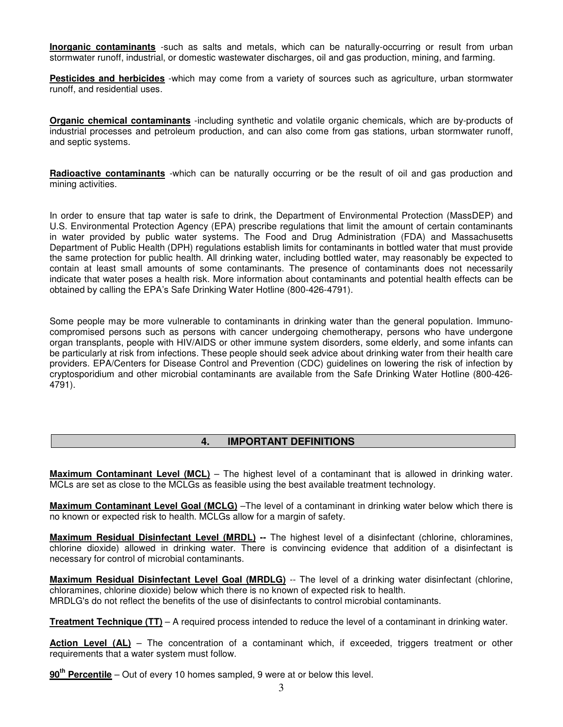**Inorganic contaminants** -such as salts and metals, which can be naturally-occurring or result from urban stormwater runoff, industrial, or domestic wastewater discharges, oil and gas production, mining, and farming.

**Pesticides and herbicides** -which may come from a variety of sources such as agriculture, urban stormwater runoff, and residential uses.

**Organic chemical contaminants** -including synthetic and volatile organic chemicals, which are by-products of industrial processes and petroleum production, and can also come from gas stations, urban stormwater runoff, and septic systems.

**Radioactive contaminants** -which can be naturally occurring or be the result of oil and gas production and mining activities.

In order to ensure that tap water is safe to drink, the Department of Environmental Protection (MassDEP) and U.S. Environmental Protection Agency (EPA) prescribe regulations that limit the amount of certain contaminants in water provided by public water systems. The Food and Drug Administration (FDA) and Massachusetts Department of Public Health (DPH) regulations establish limits for contaminants in bottled water that must provide the same protection for public health. All drinking water, including bottled water, may reasonably be expected to contain at least small amounts of some contaminants. The presence of contaminants does not necessarily indicate that water poses a health risk. More information about contaminants and potential health effects can be obtained by calling the EPA's Safe Drinking Water Hotline (800-426-4791).

Some people may be more vulnerable to contaminants in drinking water than the general population. Immunocompromised persons such as persons with cancer undergoing chemotherapy, persons who have undergone organ transplants, people with HIV/AIDS or other immune system disorders, some elderly, and some infants can be particularly at risk from infections. These people should seek advice about drinking water from their health care providers. EPA/Centers for Disease Control and Prevention (CDC) guidelines on lowering the risk of infection by cryptosporidium and other microbial contaminants are available from the Safe Drinking Water Hotline (800-426- 4791).

# **4. IMPORTANT DEFINITIONS**

**Maximum Contaminant Level (MCL)** – The highest level of a contaminant that is allowed in drinking water. MCLs are set as close to the MCLGs as feasible using the best available treatment technology.

**Maximum Contaminant Level Goal (MCLG)** –The level of a contaminant in drinking water below which there is no known or expected risk to health. MCLGs allow for a margin of safety.

**Maximum Residual Disinfectant Level (MRDL) --** The highest level of a disinfectant (chlorine, chloramines, chlorine dioxide) allowed in drinking water. There is convincing evidence that addition of a disinfectant is necessary for control of microbial contaminants.

**Maximum Residual Disinfectant Level Goal (MRDLG)** -- The level of a drinking water disinfectant (chlorine, chloramines, chlorine dioxide) below which there is no known of expected risk to health. MRDLG's do not reflect the benefits of the use of disinfectants to control microbial contaminants.

**Treatment Technique (TT)** – A required process intended to reduce the level of a contaminant in drinking water.

Action Level (AL) – The concentration of a contaminant which, if exceeded, triggers treatment or other requirements that a water system must follow.

**90th Percentile** – Out of every 10 homes sampled, 9 were at or below this level.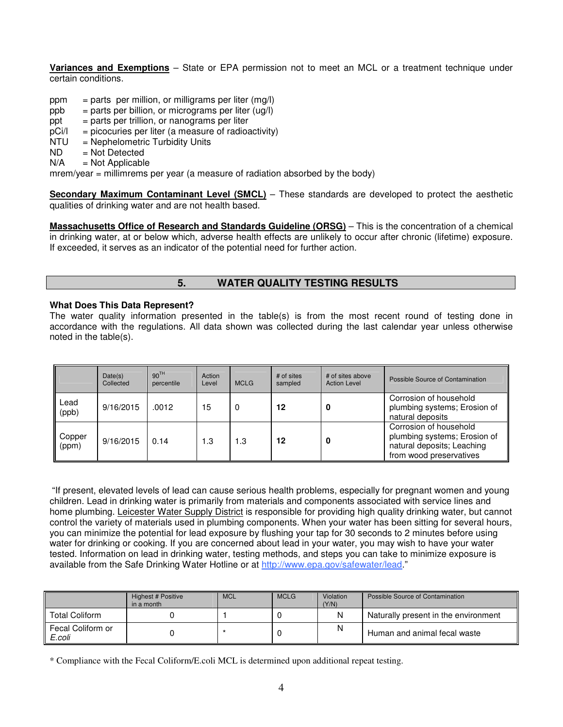**Variances and Exemptions** – State or EPA permission not to meet an MCL or a treatment technique under certain conditions.

- ppm = parts per million, or milligrams per liter  $(mq)$
- $ppb = parts per billion, or micrograms per liter (uq/l)$
- $ppt = parts per trillion, or nanograms per liter$
- $pCi/1$  = picocuries per liter (a measure of radioactivity)
- NTU = Nephelometric Turbidity Units
- $ND$  = Not Detected<br> $N/A$  = Not Applicable
- $=$  Not Applicable

mrem/year = millimrems per year (a measure of radiation absorbed by the body)

**Secondary Maximum Contaminant Level (SMCL)** – These standards are developed to protect the aesthetic qualities of drinking water and are not health based.

**Massachusetts Office of Research and Standards Guideline (ORSG)** – This is the concentration of a chemical in drinking water, at or below which, adverse health effects are unlikely to occur after chronic (lifetime) exposure. If exceeded, it serves as an indicator of the potential need for further action.

# **5. WATER QUALITY TESTING RESULTS**

#### **What Does This Data Represent?**

The water quality information presented in the table(s) is from the most recent round of testing done in accordance with the regulations. All data shown was collected during the last calendar year unless otherwise noted in the table(s).

|                 | Date(s)<br>Collected | 90 <sup>TH</sup><br>percentile | Action<br>Level | <b>MCLG</b> | # of sites<br>sampled | # of sites above<br><b>Action Level</b> | Possible Source of Contamination                                                                                |
|-----------------|----------------------|--------------------------------|-----------------|-------------|-----------------------|-----------------------------------------|-----------------------------------------------------------------------------------------------------------------|
| Lead<br>(ppb)   | 9/16/2015            | .0012                          | 15              | 0           | 12                    |                                         | Corrosion of household<br>plumbing systems; Erosion of<br>natural deposits                                      |
| Copper<br>(ppm) | 9/16/2015            | 0.14                           | 1.3             | 1.3         | 12                    |                                         | Corrosion of household<br>plumbing systems; Erosion of<br>natural deposits; Leaching<br>from wood preservatives |

"If present, elevated levels of lead can cause serious health problems, especially for pregnant women and young children. Lead in drinking water is primarily from materials and components associated with service lines and home plumbing. Leicester Water Supply District is responsible for providing high quality drinking water, but cannot control the variety of materials used in plumbing components. When your water has been sitting for several hours, you can minimize the potential for lead exposure by flushing your tap for 30 seconds to 2 minutes before using water for drinking or cooking. If you are concerned about lead in your water, you may wish to have your water tested. Information on lead in drinking water, testing methods, and steps you can take to minimize exposure is available from the Safe Drinking Water Hotline or at http://www.epa.gov/safewater/lead."

|                             | Highest # Positive<br>in a month | <b>MCL</b> | <b>MCLG</b> | Violation<br>(Y/N) | Possible Source of Contamination     |
|-----------------------------|----------------------------------|------------|-------------|--------------------|--------------------------------------|
| <b>Total Coliform</b>       |                                  |            |             | N                  | Naturally present in the environment |
| Fecal Coliform or<br>E.coli |                                  |            |             | N                  | Human and animal fecal waste         |

\* Compliance with the Fecal Coliform/E.coli MCL is determined upon additional repeat testing.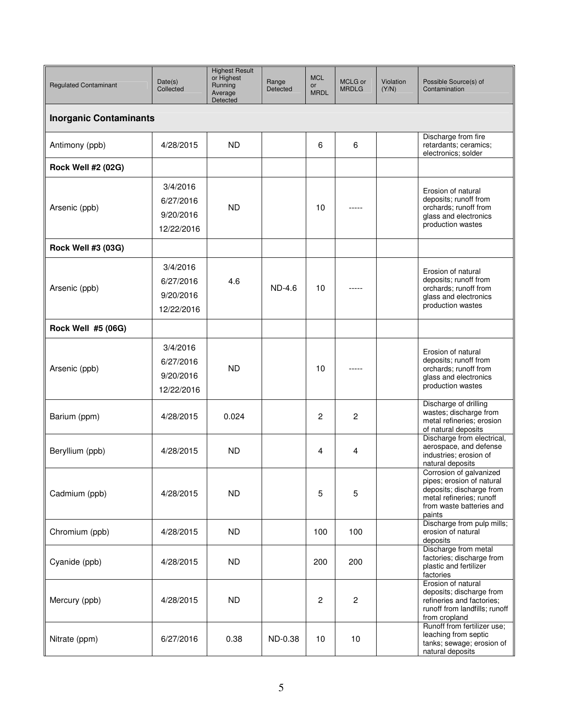| <b>Regulated Contaminant</b>  | Date(s)<br>Collected                             | <b>Highest Result</b><br>or Highest<br>Running<br>Average<br>Detected | Range<br>Detected | <b>MCL</b><br>or<br><b>MRDL</b> | MCLG or<br><b>MRDLG</b> | Violation<br>(Y/N) | Possible Source(s) of<br>Contamination                                                                                                             |  |  |  |
|-------------------------------|--------------------------------------------------|-----------------------------------------------------------------------|-------------------|---------------------------------|-------------------------|--------------------|----------------------------------------------------------------------------------------------------------------------------------------------------|--|--|--|
| <b>Inorganic Contaminants</b> |                                                  |                                                                       |                   |                                 |                         |                    |                                                                                                                                                    |  |  |  |
| Antimony (ppb)                | 4/28/2015                                        | <b>ND</b>                                                             |                   | 6                               | 6                       |                    | Discharge from fire<br>retardants; ceramics;<br>electronics; solder                                                                                |  |  |  |
| <b>Rock Well #2 (02G)</b>     |                                                  |                                                                       |                   |                                 |                         |                    |                                                                                                                                                    |  |  |  |
| Arsenic (ppb)                 | 3/4/2016<br>6/27/2016<br>9/20/2016<br>12/22/2016 | <b>ND</b>                                                             |                   | 10                              |                         |                    | Erosion of natural<br>deposits; runoff from<br>orchards; runoff from<br>glass and electronics<br>production wastes                                 |  |  |  |
| <b>Rock Well #3 (03G)</b>     |                                                  |                                                                       |                   |                                 |                         |                    |                                                                                                                                                    |  |  |  |
| Arsenic (ppb)                 | 3/4/2016<br>6/27/2016<br>9/20/2016<br>12/22/2016 | 4.6                                                                   | $ND-4.6$          | 10                              |                         |                    | Erosion of natural<br>deposits; runoff from<br>orchards; runoff from<br>glass and electronics<br>production wastes                                 |  |  |  |
| Rock Well #5 (06G)            |                                                  |                                                                       |                   |                                 |                         |                    |                                                                                                                                                    |  |  |  |
| Arsenic (ppb)                 | 3/4/2016<br>6/27/2016<br>9/20/2016<br>12/22/2016 | <b>ND</b>                                                             |                   | 10                              |                         |                    | Erosion of natural<br>deposits; runoff from<br>orchards; runoff from<br>glass and electronics<br>production wastes                                 |  |  |  |
| Barium (ppm)                  | 4/28/2015                                        | 0.024                                                                 |                   | 2                               | $\overline{c}$          |                    | Discharge of drilling<br>wastes; discharge from<br>metal refineries; erosion<br>of natural deposits                                                |  |  |  |
| Beryllium (ppb)               | 4/28/2015                                        | <b>ND</b>                                                             |                   | 4                               | 4                       |                    | Discharge from electrical,<br>aerospace, and defense<br>industries; erosion of<br>natural deposits                                                 |  |  |  |
| Cadmium (ppb)                 | 4/28/2015                                        | <b>ND</b>                                                             |                   | 5                               | 5                       |                    | Corrosion of galvanized<br>pipes; erosion of natural<br>deposits; discharge from<br>metal refineries; runoff<br>from waste batteries and<br>paints |  |  |  |
| Chromium (ppb)                | 4/28/2015                                        | <b>ND</b>                                                             |                   | 100                             | 100                     |                    | Discharge from pulp mills;<br>erosion of natural<br>deposits                                                                                       |  |  |  |
| Cyanide (ppb)                 | 4/28/2015                                        | ND.                                                                   |                   | 200                             | 200                     |                    | Discharge from metal<br>factories; discharge from<br>plastic and fertilizer<br>factories                                                           |  |  |  |
| Mercury (ppb)                 | 4/28/2015                                        | ND.                                                                   |                   | 2                               | $\overline{c}$          |                    | Erosion of natural<br>deposits; discharge from<br>refineries and factories;<br>runoff from landfills; runoff<br>from cropland                      |  |  |  |
| Nitrate (ppm)                 | 6/27/2016                                        | 0.38                                                                  | ND-0.38           | 10                              | 10                      |                    | Runoff from fertilizer use;<br>leaching from septic<br>tanks; sewage; erosion of<br>natural deposits                                               |  |  |  |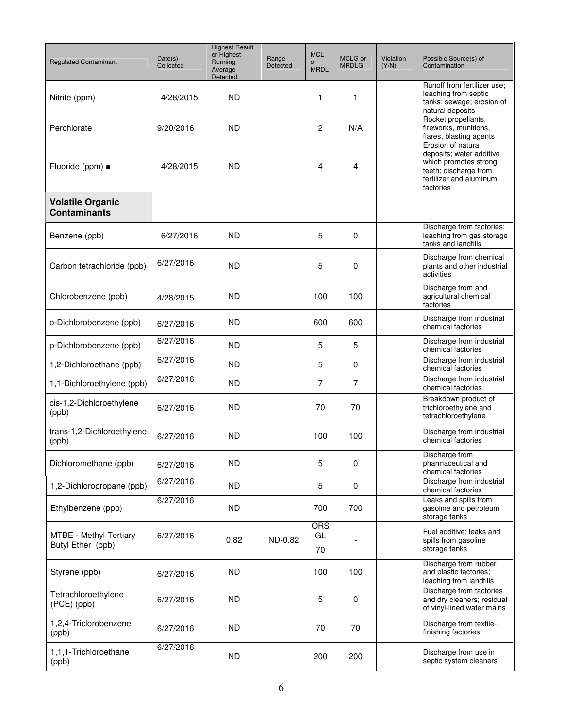| <b>Regulated Contaminant</b>                       | Date(s)<br>Collected | <b>Highest Result</b><br>or Highest<br>Running<br>Average<br>Detected | Range<br>Detected | <b>MCL</b><br>or<br><b>MRDL</b> | MCLG or<br><b>MRDLG</b> | Violation<br>(Y/N) | Possible Source(s) of<br>Contamination                                                                                                   |
|----------------------------------------------------|----------------------|-----------------------------------------------------------------------|-------------------|---------------------------------|-------------------------|--------------------|------------------------------------------------------------------------------------------------------------------------------------------|
| Nitrite (ppm)                                      | 4/28/2015            | <b>ND</b>                                                             |                   | 1                               | 1                       |                    | Runoff from fertilizer use;<br>leaching from septic<br>tanks; sewage; erosion of<br>natural deposits                                     |
| Perchlorate                                        | 9/20/2016            | <b>ND</b>                                                             |                   | $\overline{c}$                  | N/A                     |                    | Rocket propellants,<br>fireworks, munitions,<br>flares, blasting agents                                                                  |
| Fluoride (ppm) $\blacksquare$                      | 4/28/2015            | <b>ND</b>                                                             |                   | 4                               | 4                       |                    | Erosion of natural<br>deposits; water additive<br>which promotes strong<br>teeth; discharge from<br>fertilizer and aluminum<br>factories |
| <b>Volatile Organic</b><br><b>Contaminants</b>     |                      |                                                                       |                   |                                 |                         |                    |                                                                                                                                          |
| Benzene (ppb)                                      | 6/27/2016            | <b>ND</b>                                                             |                   | 5                               | $\Omega$                |                    | Discharge from factories;<br>leaching from gas storage<br>tanks and landfills                                                            |
| Carbon tetrachloride (ppb)                         | 6/27/2016            | <b>ND</b>                                                             |                   | 5                               | 0                       |                    | Discharge from chemical<br>plants and other industrial<br>activities                                                                     |
| Chlorobenzene (ppb)                                | 4/28/2015            | <b>ND</b>                                                             |                   | 100                             | 100                     |                    | Discharge from and<br>agricultural chemical<br>factories                                                                                 |
| o-Dichlorobenzene (ppb)                            | 6/27/2016            | <b>ND</b>                                                             |                   | 600                             | 600                     |                    | Discharge from industrial<br>chemical factories                                                                                          |
| p-Dichlorobenzene (ppb)                            | 6/27/2016            | <b>ND</b>                                                             |                   | 5                               | 5                       |                    | Discharge from industrial<br>chemical factories                                                                                          |
| 1,2-Dichloroethane (ppb)                           | 6/27/2016            | <b>ND</b>                                                             |                   | 5                               | 0                       |                    | Discharge from industrial<br>chemical factories                                                                                          |
| 1,1-Dichloroethylene (ppb)                         | 6/27/2016            | <b>ND</b>                                                             |                   | 7                               | $\overline{7}$          |                    | Discharge from industrial<br>chemical factories                                                                                          |
| cis-1,2-Dichloroethylene<br>(ppb)                  | 6/27/2016            | <b>ND</b>                                                             |                   | 70                              | 70                      |                    | Breakdown product of<br>trichloroethylene and<br>tetrachloroethylene                                                                     |
| trans-1,2-Dichloroethylene<br>(ppb)                | 6/27/2016            | <b>ND</b>                                                             |                   | 100                             | 100                     |                    | Discharge from industrial<br>chemical factories                                                                                          |
| Dichloromethane (ppb)                              | 6/27/2016            | <b>ND</b>                                                             |                   | 5                               | 0                       |                    | Discharge from<br>pharmaceutical and<br>chemical factories                                                                               |
| 1,2-Dichloropropane (ppb)                          | 6/27/2016            | <b>ND</b>                                                             |                   | 5                               | $\mathbf 0$             |                    | Discharge from industrial<br>chemical factories                                                                                          |
| Ethylbenzene (ppb)                                 | 6/27/2016            | <b>ND</b>                                                             |                   | 700                             | 700                     |                    | Leaks and spills from<br>gasoline and petroleum<br>storage tanks                                                                         |
| <b>MTBE - Methyl Tertiary</b><br>Butyl Ether (ppb) | 6/27/2016            | 0.82                                                                  | ND-0.82           | <b>ORS</b><br>GL<br>70          |                         |                    | Fuel additive; leaks and<br>spills from gasoline<br>storage tanks                                                                        |
| Styrene (ppb)                                      | 6/27/2016            | ND.                                                                   |                   | 100                             | 100                     |                    | Discharge from rubber<br>and plastic factories:<br>leaching from landfills                                                               |
| Tetrachloroethylene<br>(PCE) (ppb)                 | 6/27/2016            | <b>ND</b>                                                             |                   | 5                               | 0                       |                    | Discharge from factories<br>and dry cleaners; residual<br>of vinyl-lined water mains                                                     |
| 1,2,4-Triclorobenzene<br>(ppb)                     | 6/27/2016            | <b>ND</b>                                                             |                   | 70                              | 70                      |                    | Discharge from textile-<br>finishing factories                                                                                           |
| 1,1,1-Trichloroethane<br>(ppb)                     | 6/27/2016            | <b>ND</b>                                                             |                   | 200                             | 200                     |                    | Discharge from use in<br>septic system cleaners                                                                                          |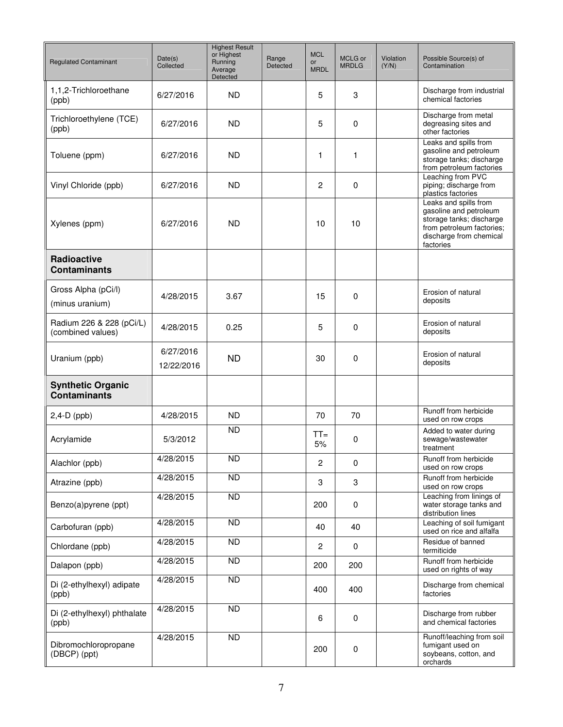| <b>Regulated Contaminant</b>                    | Date(s)<br>Collected    | <b>Highest Result</b><br>or Highest<br>Running<br>Average<br>Detected | Range<br>Detected | <b>MCL</b><br>or<br><b>MRDL</b> | MCLG or<br><b>MRDLG</b> | <b>Violation</b><br>(Y/N) | Possible Source(s) of<br>Contamination                                                                                                           |
|-------------------------------------------------|-------------------------|-----------------------------------------------------------------------|-------------------|---------------------------------|-------------------------|---------------------------|--------------------------------------------------------------------------------------------------------------------------------------------------|
| 1,1,2-Trichloroethane<br>(ppb)                  | 6/27/2016               | <b>ND</b>                                                             |                   | 5                               | 3                       |                           | Discharge from industrial<br>chemical factories                                                                                                  |
| Trichloroethylene (TCE)<br>(ppb)                | 6/27/2016               | <b>ND</b>                                                             |                   | 5                               | 0                       |                           | Discharge from metal<br>degreasing sites and<br>other factories                                                                                  |
| Toluene (ppm)                                   | 6/27/2016               | <b>ND</b>                                                             |                   | 1                               | 1                       |                           | Leaks and spills from<br>gasoline and petroleum<br>storage tanks; discharge<br>from petroleum factories                                          |
| Vinyl Chloride (ppb)                            | 6/27/2016               | <b>ND</b>                                                             |                   | $\overline{c}$                  | 0                       |                           | Leaching from PVC<br>piping; discharge from<br>plastics factories                                                                                |
| Xylenes (ppm)                                   | 6/27/2016               | ND.                                                                   |                   | 10                              | 10                      |                           | Leaks and spills from<br>gasoline and petroleum<br>storage tanks; discharge<br>from petroleum factories;<br>discharge from chemical<br>factories |
| Radioactive<br><b>Contaminants</b>              |                         |                                                                       |                   |                                 |                         |                           |                                                                                                                                                  |
| Gross Alpha (pCi/l)<br>(minus uranium)          | 4/28/2015               | 3.67                                                                  |                   | 15                              | 0                       |                           | Erosion of natural<br>deposits                                                                                                                   |
| Radium 226 & 228 (pCi/L)<br>(combined values)   | 4/28/2015               | 0.25                                                                  |                   | 5                               | 0                       |                           | Erosion of natural<br>deposits                                                                                                                   |
| Uranium (ppb)                                   | 6/27/2016<br>12/22/2016 | ND                                                                    |                   | 30                              | 0                       |                           | Erosion of natural<br>deposits                                                                                                                   |
| <b>Synthetic Organic</b><br><b>Contaminants</b> |                         |                                                                       |                   |                                 |                         |                           |                                                                                                                                                  |
| $2,4-D$ (ppb)                                   | 4/28/2015               | <b>ND</b>                                                             |                   | 70                              | 70                      |                           | Runoff from herbicide<br>used on row crops                                                                                                       |
| Acrylamide                                      | 5/3/2012                | <b>ND</b>                                                             |                   | $TT =$<br>5%                    | 0                       |                           | Added to water during<br>sewage/wastewater<br>treatment                                                                                          |
| Alachlor (ppb)                                  | 4/28/2015               | <b>ND</b>                                                             |                   | $\overline{c}$                  | 0                       |                           | Runoff from herbicide<br>used on row crops                                                                                                       |
| Atrazine (ppb)                                  | 4/28/2015               | <b>ND</b>                                                             |                   | 3                               | 3                       |                           | Runoff from herbicide<br>used on row crops                                                                                                       |
| Benzo(a)pyrene (ppt)                            | 4/28/2015               | ND                                                                    |                   | 200                             | 0                       |                           | Leaching from linings of<br>water storage tanks and<br>distribution lines                                                                        |
| Carbofuran (ppb)                                | 4/28/2015               | <b>ND</b>                                                             |                   | 40                              | 40                      |                           | Leaching of soil fumigant<br>used on rice and alfalfa                                                                                            |
| Chlordane (ppb)                                 | 4/28/2015               | $\overline{ND}$                                                       |                   | $\overline{c}$                  | $\pmb{0}$               |                           | Residue of banned<br>termiticide                                                                                                                 |
| Dalapon (ppb)                                   | 4/28/2015               | <b>ND</b>                                                             |                   | 200                             | 200                     |                           | Runoff from herbicide<br>used on rights of way                                                                                                   |
| Di (2-ethylhexyl) adipate<br>(ppb)              | 4/28/2015               | $\overline{ND}$                                                       |                   | 400                             | 400                     |                           | Discharge from chemical<br>factories                                                                                                             |
| Di (2-ethylhexyl) phthalate<br>(ppb)            | 4/28/2015               | <b>ND</b>                                                             |                   | 6                               | 0                       |                           | Discharge from rubber<br>and chemical factories                                                                                                  |
| Dibromochloropropane<br>(DBCP) (ppt)            | 4/28/2015               | $\overline{ND}$                                                       |                   | 200                             | 0                       |                           | Runoff/leaching from soil<br>fumigant used on<br>soybeans, cotton, and<br>orchards                                                               |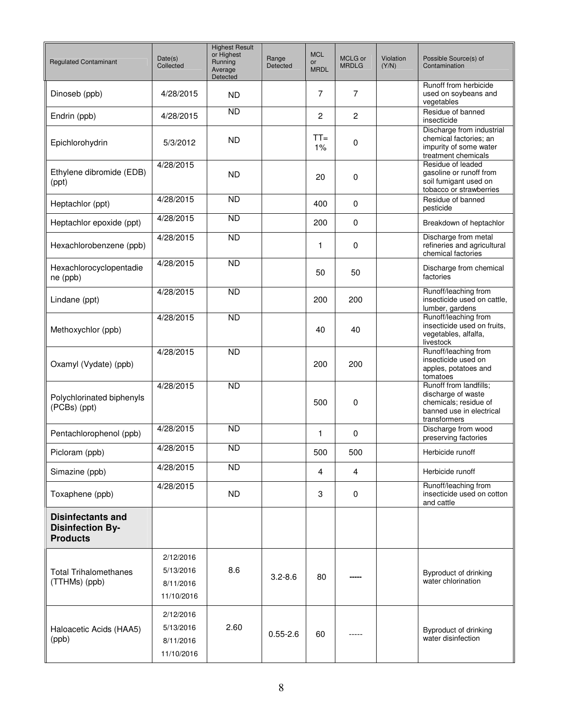| <b>Regulated Contaminant</b>                                           | Date(s)<br>Collected                              | <b>Highest Result</b><br>or Highest<br>Running<br>Average<br>Detected | Range<br>Detected | <b>MCL</b><br>or<br><b>MRDL</b> | MCLG or<br><b>MRDLG</b> | Violation<br>(Y/N) | Possible Source(s) of<br>Contamination                                                                            |
|------------------------------------------------------------------------|---------------------------------------------------|-----------------------------------------------------------------------|-------------------|---------------------------------|-------------------------|--------------------|-------------------------------------------------------------------------------------------------------------------|
| Dinoseb (ppb)                                                          | 4/28/2015                                         | <b>ND</b>                                                             |                   | 7                               | $\overline{7}$          |                    | Runoff from herbicide<br>used on soybeans and<br>vegetables                                                       |
| Endrin (ppb)                                                           | 4/28/2015                                         | <b>ND</b>                                                             |                   | 2                               | 2                       |                    | Residue of banned<br>insecticide                                                                                  |
| Epichlorohydrin                                                        | 5/3/2012                                          | <b>ND</b>                                                             |                   | $TT =$<br>1%                    | 0                       |                    | Discharge from industrial<br>chemical factories; an<br>impurity of some water<br>treatment chemicals              |
| Ethylene dibromide (EDB)<br>(ppt)                                      | 4/28/2015                                         | <b>ND</b>                                                             |                   | 20                              | $\mathbf 0$             |                    | Residue of leaded<br>gasoline or runoff from<br>soil fumigant used on<br>tobacco or strawberries                  |
| Heptachlor (ppt)                                                       | 4/28/2015                                         | <b>ND</b>                                                             |                   | 400                             | 0                       |                    | Residue of banned<br>pesticide                                                                                    |
| Heptachlor epoxide (ppt)                                               | 4/28/2015                                         | <b>ND</b>                                                             |                   | 200                             | $\mathbf 0$             |                    | Breakdown of heptachlor                                                                                           |
| Hexachlorobenzene (ppb)                                                | 4/28/2015                                         | <b>ND</b>                                                             |                   | 1                               | 0                       |                    | Discharge from metal<br>refineries and agricultural<br>chemical factories                                         |
| Hexachlorocyclopentadie<br>ne (ppb)                                    | 4/28/2015                                         | <b>ND</b>                                                             |                   | 50                              | 50                      |                    | Discharge from chemical<br>factories                                                                              |
| Lindane (ppt)                                                          | 4/28/2015                                         | <b>ND</b>                                                             |                   | 200                             | 200                     |                    | Runoff/leaching from<br>insecticide used on cattle,<br>lumber, gardens                                            |
| Methoxychlor (ppb)                                                     | 4/28/2015                                         | <b>ND</b>                                                             |                   | 40                              | 40                      |                    | Runoff/leaching from<br>insecticide used on fruits.<br>vegetables, alfalfa,<br>livestock                          |
| Oxamyl (Vydate) (ppb)                                                  | 4/28/2015                                         | <b>ND</b>                                                             |                   | 200                             | 200                     |                    | Runoff/leaching from<br>insecticide used on<br>apples, potatoes and<br>tomatoes                                   |
| Polychlorinated biphenyls<br>(PCBs) (ppt)                              | 4/28/2015                                         | $\overline{ND}$                                                       |                   | 500                             | 0                       |                    | Runoff from landfills;<br>discharge of waste<br>chemicals; residue of<br>banned use in electrical<br>transformers |
| Pentachlorophenol (ppb)                                                | 4/28/2015                                         | <b>ND</b>                                                             |                   | 1                               | 0                       |                    | Discharge from wood<br>preserving factories                                                                       |
| Picloram (ppb)                                                         | 4/28/2015                                         | <b>ND</b>                                                             |                   | 500                             | 500                     |                    | Herbicide runoff                                                                                                  |
| Simazine (ppb)                                                         | 4/28/2015                                         | <b>ND</b>                                                             |                   | 4                               | 4                       |                    | Herbicide runoff                                                                                                  |
| Toxaphene (ppb)                                                        | 4/28/2015                                         | <b>ND</b>                                                             |                   | 3                               | $\mathbf 0$             |                    | Runoff/leaching from<br>insecticide used on cotton<br>and cattle                                                  |
| <b>Disinfectants and</b><br><b>Disinfection By-</b><br><b>Products</b> |                                                   |                                                                       |                   |                                 |                         |                    |                                                                                                                   |
| <b>Total Trihalomethanes</b><br>(TTHMs) (ppb)                          | 2/12/2016<br>5/13/2016<br>8/11/2016<br>11/10/2016 | 8.6                                                                   | $3.2 - 8.6$       | 80                              |                         |                    | Byproduct of drinking<br>water chlorination                                                                       |
| Haloacetic Acids (HAA5)<br>(ppb)                                       | 2/12/2016<br>5/13/2016<br>8/11/2016<br>11/10/2016 | 2.60                                                                  | $0.55 - 2.6$      | 60                              |                         |                    | Byproduct of drinking<br>water disinfection                                                                       |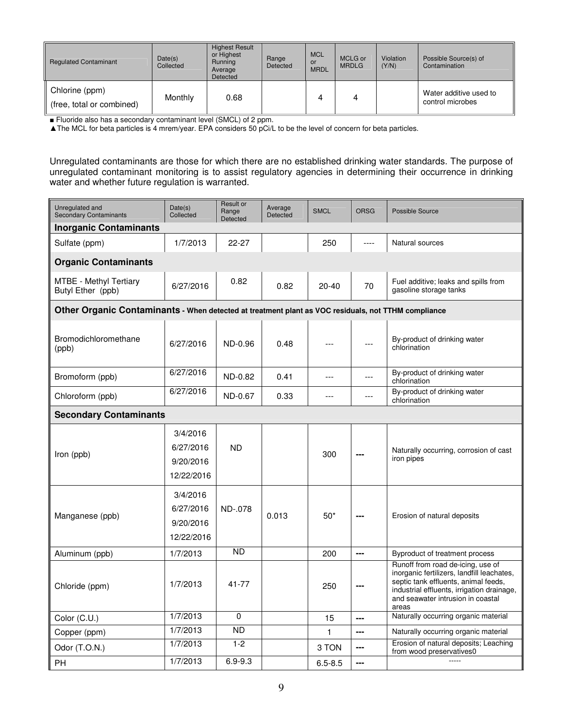| <b>Regulated Contaminant</b>                | Date(s)<br>Collected | <b>Highest Result</b><br>or Highest<br>Running<br>Average<br>Detected | Range<br>Detected | <b>MCL</b><br><b>or</b><br><b>MRDL</b> | MCLG or<br><b>MRDLG</b> | <b>Violation</b><br>(Y/N) | Possible Source(s) of<br>Contamination     |
|---------------------------------------------|----------------------|-----------------------------------------------------------------------|-------------------|----------------------------------------|-------------------------|---------------------------|--------------------------------------------|
| Chlorine (ppm)<br>(free, total or combined) | Monthly              | 0.68                                                                  |                   |                                        |                         |                           | Water additive used to<br>control microbes |

■ Fluoride also has a secondary contaminant level (SMCL) of 2 ppm.

▲The MCL for beta particles is 4 mrem/year. EPA considers 50 pCi/L to be the level of concern for beta particles.

Unregulated contaminants are those for which there are no established drinking water standards. The purpose of unregulated contaminant monitoring is to assist regulatory agencies in determining their occurrence in drinking water and whether future regulation is warranted.

| Unregulated and<br><b>Secondary Contaminants</b>                                                    | Date(s)<br>Collected                             | Result or<br>Range<br>Detected | Average<br><b>Detected</b> | <b>SMCL</b> | <b>ORSG</b> | <b>Possible Source</b>                                                                                                                                                                                              |  |  |
|-----------------------------------------------------------------------------------------------------|--------------------------------------------------|--------------------------------|----------------------------|-------------|-------------|---------------------------------------------------------------------------------------------------------------------------------------------------------------------------------------------------------------------|--|--|
| <b>Inorganic Contaminants</b>                                                                       |                                                  |                                |                            |             |             |                                                                                                                                                                                                                     |  |  |
| Sulfate (ppm)                                                                                       | 1/7/2013                                         | 22-27                          |                            | 250         | ----        | Natural sources                                                                                                                                                                                                     |  |  |
| <b>Organic Contaminants</b>                                                                         |                                                  |                                |                            |             |             |                                                                                                                                                                                                                     |  |  |
| <b>MTBE - Methyl Tertiary</b><br>Butyl Ether (ppb)                                                  | 6/27/2016                                        | 0.82                           | 0.82                       | $20 - 40$   | 70          | Fuel additive; leaks and spills from<br>gasoline storage tanks                                                                                                                                                      |  |  |
| Other Organic Contaminants - When detected at treatment plant as VOC residuals, not TTHM compliance |                                                  |                                |                            |             |             |                                                                                                                                                                                                                     |  |  |
| Bromodichloromethane<br>(ppb)                                                                       | 6/27/2016                                        | ND-0.96                        | 0.48                       |             | ---         | By-product of drinking water<br>chlorination                                                                                                                                                                        |  |  |
| Bromoform (ppb)                                                                                     | 6/27/2016                                        | ND-0.82                        | 0.41                       | ---         | $---$       | By-product of drinking water<br>chlorination                                                                                                                                                                        |  |  |
| Chloroform (ppb)                                                                                    | 6/27/2016                                        | ND-0.67                        | 0.33                       | ---         | ---         | By-product of drinking water<br>chlorination                                                                                                                                                                        |  |  |
| <b>Secondary Contaminants</b>                                                                       |                                                  |                                |                            |             |             |                                                                                                                                                                                                                     |  |  |
| Iron (ppb)                                                                                          | 3/4/2016<br>6/27/2016<br>9/20/2016<br>12/22/2016 | <b>ND</b>                      |                            | 300         |             | Naturally occurring, corrosion of cast<br>iron pipes                                                                                                                                                                |  |  |
| Manganese (ppb)                                                                                     | 3/4/2016<br>6/27/2016<br>9/20/2016<br>12/22/2016 | ND-.078                        | 0.013                      | $50*$       | ---         | Erosion of natural deposits                                                                                                                                                                                         |  |  |
| Aluminum (ppb)                                                                                      | 1/7/2013                                         | <b>ND</b>                      |                            | 200         | ---         | Byproduct of treatment process                                                                                                                                                                                      |  |  |
| Chloride (ppm)                                                                                      | 1/7/2013                                         | $41 - 77$                      |                            | 250         | ---         | Runoff from road de-icing, use of<br>inorganic fertilizers, landfill leachates,<br>septic tank effluents, animal feeds,<br>industrial effluents, irrigation drainage,<br>and seawater intrusion in coastal<br>areas |  |  |
| Color (C.U.)                                                                                        | 1/7/2013                                         | 0                              |                            | 15          | ---         | Naturally occurring organic material                                                                                                                                                                                |  |  |
| Copper (ppm)                                                                                        | 1/7/2013                                         | <b>ND</b>                      |                            | 1           | ---         | Naturally occurring organic material                                                                                                                                                                                |  |  |
| Odor (T.O.N.)                                                                                       | 1/7/2013                                         | $1 - 2$                        |                            | 3 TON       | ---         | Erosion of natural deposits; Leaching<br>from wood preservatives0                                                                                                                                                   |  |  |
| PH.                                                                                                 | 1/7/2013                                         | $6.9 - 9.3$                    |                            | $6.5 - 8.5$ | ---         | 1.1.1                                                                                                                                                                                                               |  |  |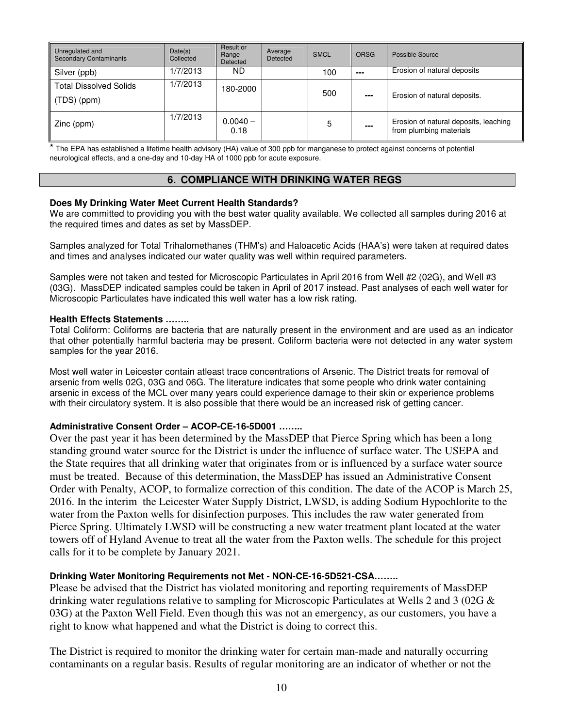| Unregulated and<br><b>Secondary Contaminants</b>         | Date(s)<br>Collected | Result or<br>Range<br>Detected | Average<br>Detected | <b>SMCL</b> | <b>ORSG</b> | Possible Source                                                  |
|----------------------------------------------------------|----------------------|--------------------------------|---------------------|-------------|-------------|------------------------------------------------------------------|
| Silver (ppb)                                             | 1/7/2013             | ND.                            |                     | 100         | ---         | Erosion of natural deposits                                      |
| <b>Total Dissolved Solids</b><br>$\parallel$ (TDS) (ppm) | 1/7/2013             | 180-2000                       |                     | 500         | ---         | Erosion of natural deposits.                                     |
| Zinc (ppm)                                               | 1/7/2013             | $0.0040 -$<br>0.18             |                     | 5           | ---         | Erosion of natural deposits, leaching<br>from plumbing materials |

\* The EPA has established a lifetime health advisory (HA) value of 300 ppb for manganese to protect against concerns of potential neurological effects, and a one-day and 10-day HA of 1000 ppb for acute exposure.

# **6. COMPLIANCE WITH DRINKING WATER REGS**

## **Does My Drinking Water Meet Current Health Standards?**

We are committed to providing you with the best water quality available. We collected all samples during 2016 at the required times and dates as set by MassDEP.

Samples analyzed for Total Trihalomethanes (THM's) and Haloacetic Acids (HAA's) were taken at required dates and times and analyses indicated our water quality was well within required parameters.

Samples were not taken and tested for Microscopic Particulates in April 2016 from Well #2 (02G), and Well #3 (03G). MassDEP indicated samples could be taken in April of 2017 instead. Past analyses of each well water for Microscopic Particulates have indicated this well water has a low risk rating.

#### **Health Effects Statements ……..**

Total Coliform: Coliforms are bacteria that are naturally present in the environment and are used as an indicator that other potentially harmful bacteria may be present. Coliform bacteria were not detected in any water system samples for the year 2016.

Most well water in Leicester contain atleast trace concentrations of Arsenic. The District treats for removal of arsenic from wells 02G, 03G and 06G. The literature indicates that some people who drink water containing arsenic in excess of the MCL over many years could experience damage to their skin or experience problems with their circulatory system. It is also possible that there would be an increased risk of getting cancer.

# **Administrative Consent Order – ACOP-CE-16-5D001 ……..**

Over the past year it has been determined by the MassDEP that Pierce Spring which has been a long standing ground water source for the District is under the influence of surface water. The USEPA and the State requires that all drinking water that originates from or is influenced by a surface water source must be treated. Because of this determination, the MassDEP has issued an Administrative Consent Order with Penalty, ACOP, to formalize correction of this condition. The date of the ACOP is March 25, 2016. In the interim the Leicester Water Supply District, LWSD, is adding Sodium Hypochlorite to the water from the Paxton wells for disinfection purposes. This includes the raw water generated from Pierce Spring. Ultimately LWSD will be constructing a new water treatment plant located at the water towers off of Hyland Avenue to treat all the water from the Paxton wells. The schedule for this project calls for it to be complete by January 2021.

# **Drinking Water Monitoring Requirements not Met - NON-CE-16-5D521-CSA……..**

Please be advised that the District has violated monitoring and reporting requirements of MassDEP drinking water regulations relative to sampling for Microscopic Particulates at Wells 2 and 3 (02G & 03G) at the Paxton Well Field. Even though this was not an emergency, as our customers, you have a right to know what happened and what the District is doing to correct this.

The District is required to monitor the drinking water for certain man-made and naturally occurring contaminants on a regular basis. Results of regular monitoring are an indicator of whether or not the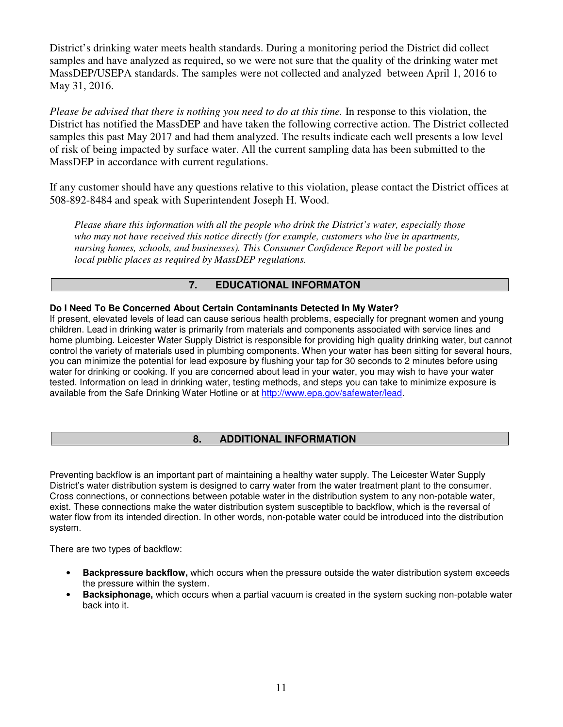District's drinking water meets health standards. During a monitoring period the District did collect samples and have analyzed as required, so we were not sure that the quality of the drinking water met MassDEP/USEPA standards. The samples were not collected and analyzed between April 1, 2016 to May 31, 2016.

*Please be advised that there is nothing you need to do at this time.* In response to this violation, the District has notified the MassDEP and have taken the following corrective action. The District collected samples this past May 2017 and had them analyzed. The results indicate each well presents a low level of risk of being impacted by surface water. All the current sampling data has been submitted to the MassDEP in accordance with current regulations.

If any customer should have any questions relative to this violation, please contact the District offices at 508-892-8484 and speak with Superintendent Joseph H. Wood.

*Please share this information with all the people who drink the District's water, especially those who may not have received this notice directly (for example, customers who live in apartments, nursing homes, schools, and businesses). This Consumer Confidence Report will be posted in local public places as required by MassDEP regulations.* 

# **7. EDUCATIONAL INFORMATON**

# **Do I Need To Be Concerned About Certain Contaminants Detected In My Water?**

If present, elevated levels of lead can cause serious health problems, especially for pregnant women and young children. Lead in drinking water is primarily from materials and components associated with service lines and home plumbing. Leicester Water Supply District is responsible for providing high quality drinking water, but cannot control the variety of materials used in plumbing components. When your water has been sitting for several hours, you can minimize the potential for lead exposure by flushing your tap for 30 seconds to 2 minutes before using water for drinking or cooking. If you are concerned about lead in your water, you may wish to have your water tested. Information on lead in drinking water, testing methods, and steps you can take to minimize exposure is available from the Safe Drinking Water Hotline or at http://www.epa.gov/safewater/lead.

# **8. ADDITIONAL INFORMATION**

Preventing backflow is an important part of maintaining a healthy water supply. The Leicester Water Supply District's water distribution system is designed to carry water from the water treatment plant to the consumer. Cross connections, or connections between potable water in the distribution system to any non-potable water, exist. These connections make the water distribution system susceptible to backflow, which is the reversal of water flow from its intended direction. In other words, non-potable water could be introduced into the distribution system.

There are two types of backflow:

- **Backpressure backflow,** which occurs when the pressure outside the water distribution system exceeds the pressure within the system.
- **Backsiphonage,** which occurs when a partial vacuum is created in the system sucking non-potable water back into it.